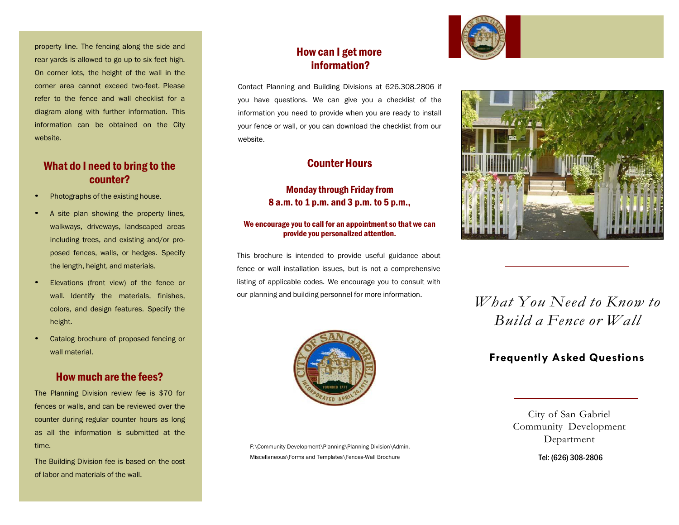property line. The fencing along the side and rear yards is allowed to go up to six feet high. On corner lots, the height of the wall in the corner area cannot exceed two-feet. Please refer to the fence and wall checklist for a diagram along with further information. This information can be obtained on the City website.

## What do I need to bring to the counter?

- Photographs of the existing house.
- <sup>A</sup> site plan showing the property lines, walkways, driveways, landscaped areas including trees, and existing and/or proposed fences, walls, or hedges. Specify the length, height, and materials.
- Elevations (front view) of the fence or wall. Identify the materials, finishes, colors, and design features. Specify the height.
- Catalog brochure of proposed fencing or wall material

#### Howmuch are the fees?

The Planning Division review fee is \$70 for fences or walls, and can be reviewed over the counter during regular counter hours as long as all the information is submitted at the time.

The Building Division fee is based on the cost of labor and materials of the wall.

# How can I getmore information?

Contact Planning and Building Divisions at 626.308.2806 if you have questions. We can give you a checklist of the information you need to provide when you are ready to install your fence or wall, or you can download the checklist from our website.

## **Counter Hours**

#### **Monday through Friday from** 8 a.m. to 1 p.m. and 3 p.m. to 5 p.m.,

#### We encourage you to call for an appointment so that we can provide you personalized attention.

This brochure is intended to provide useful guidance about fence or wall installation issues, but is not a comprehensive listing of applicable codes. We encourage you to consult with our planning and building personnel for more information.



F:\Community Development\Planning\Planning Division\Admin. Miscellaneous\Forms and Templates\Fences-Wall Brochure





# *What You Need to Know to Build a Fence or Wall*

# **Frequently Asked Questions**

City of San Gabriel Community Development Department

Tel: (626) 308-2806